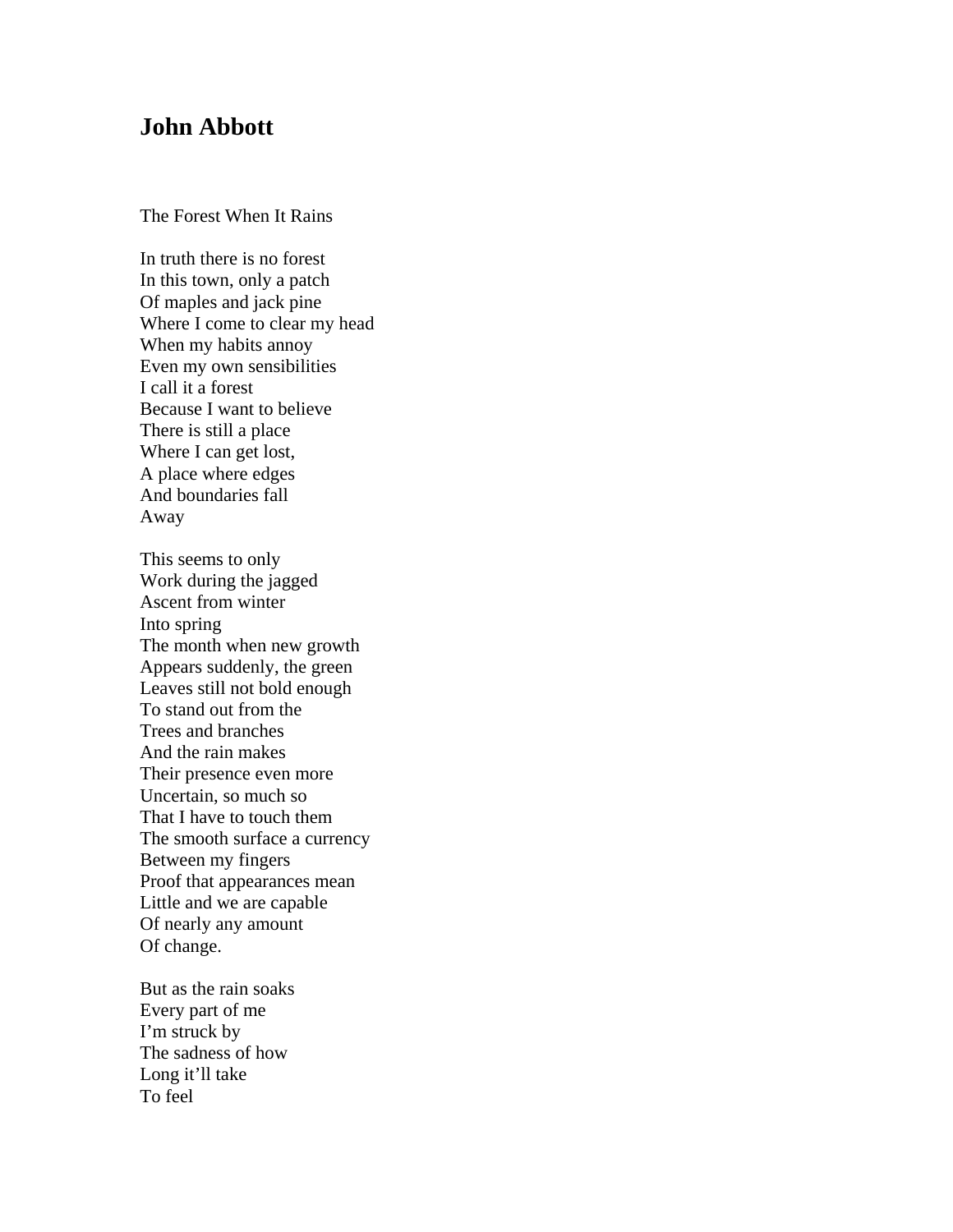## **John Abbott**

The Forest When It Rains

In truth there is no forest In this town, only a patch Of maples and jack pine Where I come to clear my head When my habits annoy Even my own sensibilities I call it a forest Because I want to believe There is still a place Where I can get lost, A place where edges And boundaries fall Away

This seems to only Work during the jagged Ascent from winter Into spring The month when new growth Appears suddenly, the green Leaves still not bold enough To stand out from the Trees and branches And the rain makes Their presence even more Uncertain, so much so That I have to touch them The smooth surface a currency Between my fingers Proof that appearances mean Little and we are capable Of nearly any amount Of change.

But as the rain soaks Every part of me I'm struck by The sadness of how Long it'll take To feel